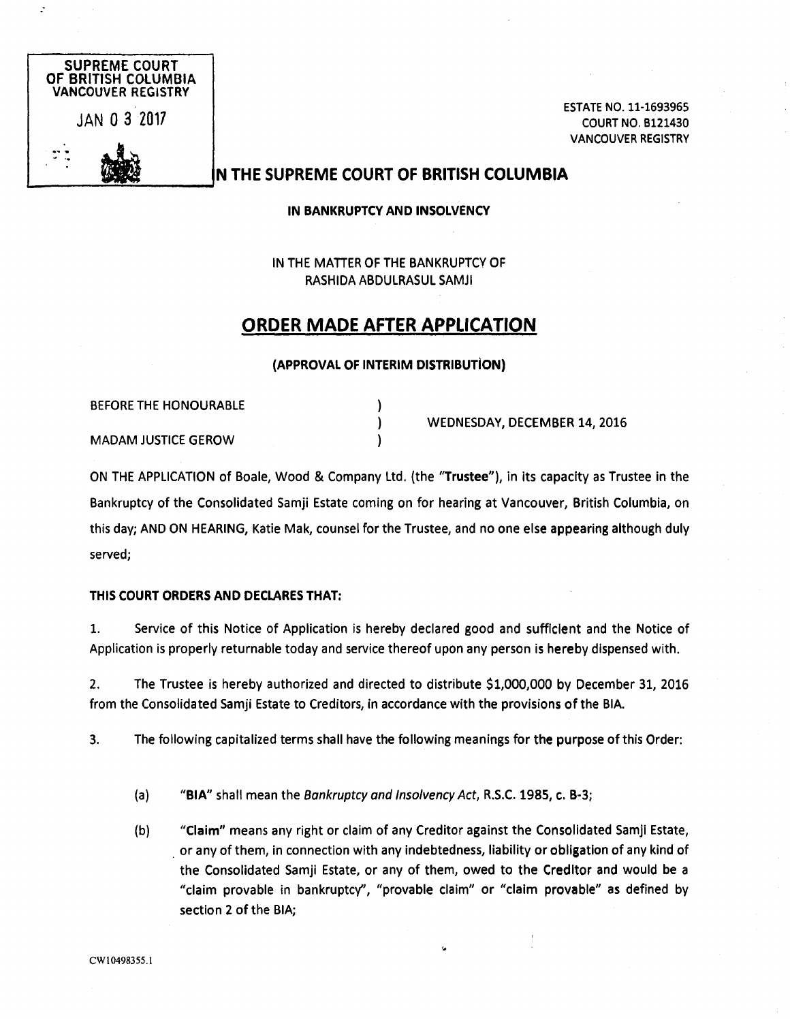

ESTATE N0. 11-1693965 COURT N0. 8121430 VANCOUVER REGISTRY

## N THE SUPREME COURT OF BRITISH COLUM6IA

IN BANKRUPTCY AND INSOLVENCY

IN THE MATTER OF THE BANKRUPTCY OF RASHIDA ABDULRASUL SAMJI

# ORDER MADE AFTER APPLICATION

#### (APPROVAL OF INTERIM DISTRIBUTION)

)

BEFORE THE HONOURABLE

MADAM JUSTICE GEROW

WEDNESDAY, DECEMBER 14, 2016

ON THE APPLICATION of Boale, Wood & Company Ltd. (the "Trustee"), in its capacity as Trustee in the Bankruptcy of the Consolidated Samji Estate coming on for hearing at Vancouver, British Columbia, on this day; AND ON HEARING, Katie Mak, counsel for the Trustee, and no one else appearing although duly served;

### THIS COURT ORDERS AND DECLARES THAT:

1. Service of this Notice of Application is hereby declared good and sufflclent and the Notice of Application is properly returnable today and service thereof upon any person is hereby dispensed with.

2. The Trustee is hereby authorized and directed to distribute \$1,000,000 by December 31, 2016 from the Consolidated Samji Estate to Creditors, in accordance with the provisions of the BIA.

3. The following capitalized terms shall have the following meanings for the purpose of this Order:

- (a) "BIA" shall mean the Bankruptcy and Insolvency Act, R.S.C. 1985, c. B-3;
- (b) "Claim" means any right or claim of any Creditor against the Consolidated Samji Estate, or any of them, in connection with any indebtedness, liability or obligation of any kind of the Consolidated Samji Estate, or any of them, owed to the Creditor and would be a "claim provable in bankruptcy", "provable claim" or "claim provable" as defined by section 2 of the BIA;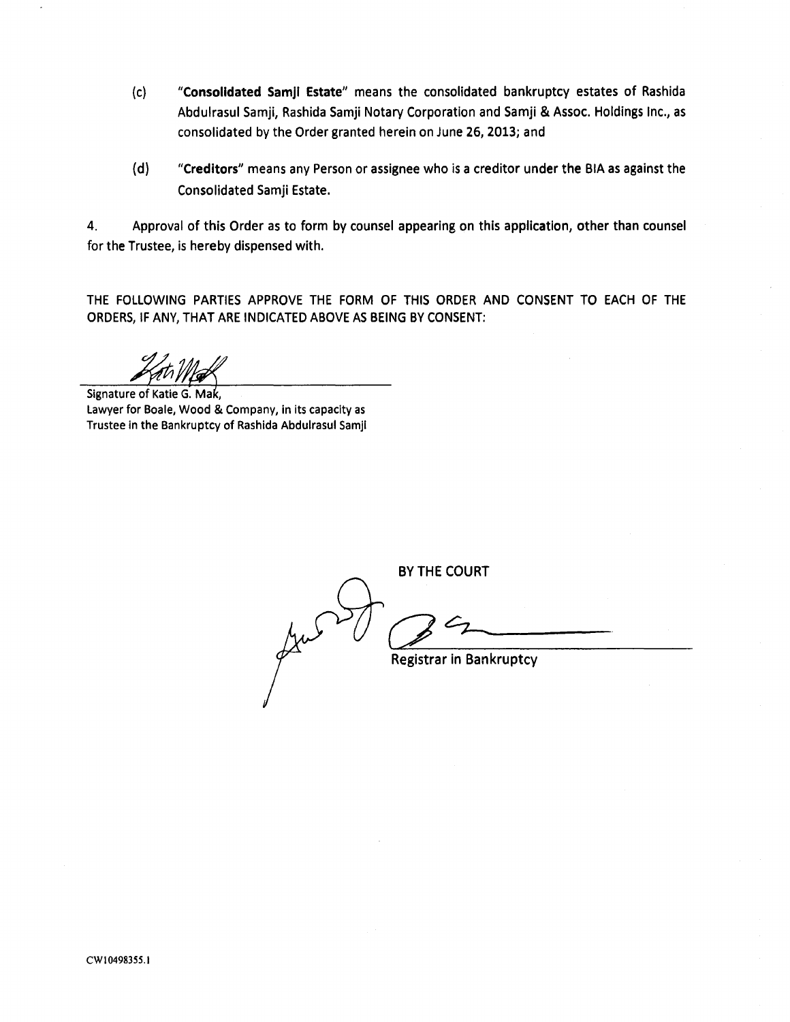- (c) "Consolidated Samji Estate" means the consolidated bankruptcy estates of Rashida Abdulrasul Samji, Rashida Samji Notary Corporation and Samji & Assoc. Holdings Inc., as consolidated by the Order granted herein on June 26, 2013; and
- (d) "Creditors" means any Person or assignee who is a creditor under the BIA as against the Consolidated Samji Estate.

4. Approval of this Order as to form by counsel appearing on this application, other than counsel for the Trustee, is hereby dispensed with.

THE FOLLOWING PARTIES APPROVE THE FORM OF THIS ORDER AND CONSENT TO EACH OF THE ORDERS, IF ANY, THAT ARE INDICATED ABOVE AS BEING BY CONSENT:

Signature of Katie G. Mak, Lawyer for Boale, Wood & Company, in its capacity as Trustee in the Bankruptcy of Rashida Abdulrasul Samji

BY THE COURT Registrar in Bankruptcy